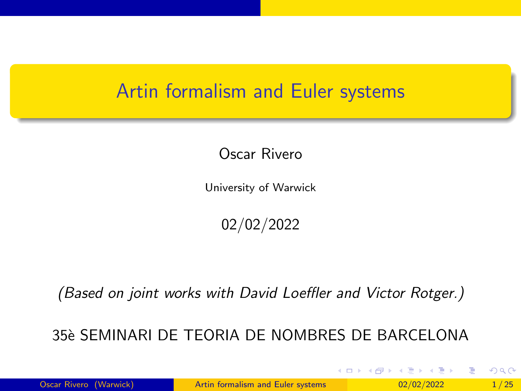#### <span id="page-0-0"></span>Artin formalism and Euler systems

Oscar Rivero

University of Warwick

02/02/2022

(Based on joint works with David Loeffler and Victor Rotger.)

35`e SEMINARI DE TEORIA DE NOMBRES DE BARCELONA

イロト イ押 トイヨ トイヨ トー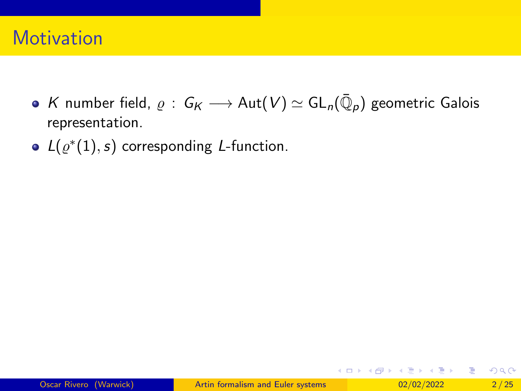### **Motivation**

- $\mathcal K$  number field,  $\varrho\,:\, \mathsf{G}_\mathsf{K}\longrightarrow \mathsf{Aut}(\mathsf{V})\simeq \mathsf{GL}_n(\bar{\mathbb Q}_\rho)$  geometric Galois representation.
- $L(\varrho^*(1), s)$  corresponding L-function.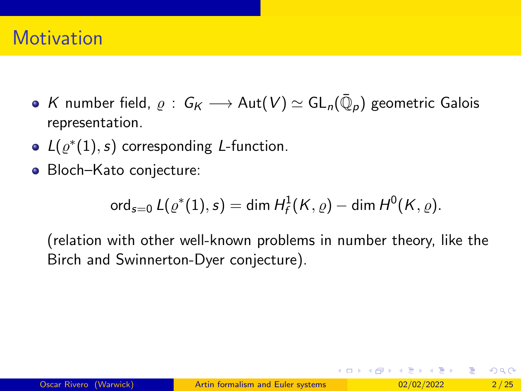## **Motivation**

- $\mathcal K$  number field,  $\varrho\,:\, \mathsf{G}_\mathsf{K}\longrightarrow \mathsf{Aut}(\mathsf{V})\simeq \mathsf{GL}_n(\bar{\mathbb Q}_\rho)$  geometric Galois representation.
- $L(\varrho^*(1), s)$  corresponding L-function.
- Bloch–Kato conjecture:

$$
\operatorname{ord}_{s=0} L(\varrho^*(1),s)=\dim H^1_f(K,\varrho)-\dim H^0(K,\varrho).
$$

(relation with other well-known problems in number theory, like the Birch and Swinnerton-Dyer conjecture).

 $A \equiv \begin{pmatrix} 1 & 0 & 0 \\ 0 & 1 & 0 \\ 0 & 0 & 0 \end{pmatrix} \in A \Rightarrow A \equiv \begin{pmatrix} 1 & 0 & 0 \\ 0 & 1 & 0 \\ 0 & 0 & 0 \end{pmatrix} \in A$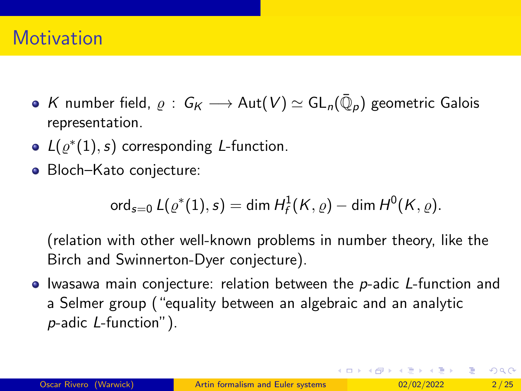## **Motivation**

- $\mathcal K$  number field,  $\varrho\,:\, \mathsf{G}_\mathsf{K}\longrightarrow \mathsf{Aut}(\mathsf{V})\simeq \mathsf{GL}_n(\bar{\mathbb Q}_\rho)$  geometric Galois representation.
- $L(\varrho^*(1), s)$  corresponding L-function.
- Bloch–Kato conjecture:

$$
\operatorname{ord}_{s=0} L(\varrho^*(1),s)=\dim H^1_f(K,\varrho)-\dim H^0(K,\varrho).
$$

(relation with other well-known problems in number theory, like the Birch and Swinnerton-Dyer conjecture).

 $\bullet$  Iwasawa main conjecture: relation between the p-adic L-function and a Selmer group ("equality between an algebraic and an analytic p-adic L-function").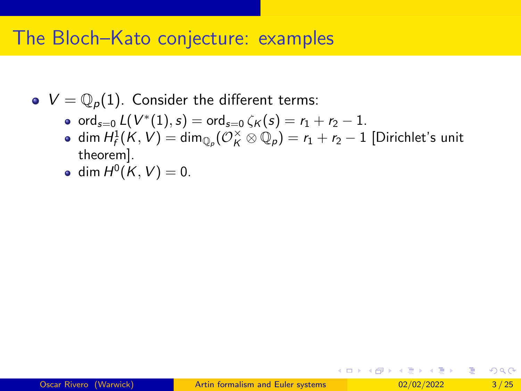#### The Bloch–Kato conjecture: examples

- $\bullet V = \mathbb{Q}_p(1)$ . Consider the different terms:
	- ord $_{s=0}$   $L(V^*(1), s) = \text{ord}_{s=0} \zeta_{\mathcal{K}}(s) = r_1 + r_2 1.$
	- dim  $H_f^1(K, V) = \dim_{\mathbb{Q}_p} (\mathcal{O}_K^{\times} \otimes \mathbb{Q}_p) = r_1 + r_2 1$  [Dirichlet's unit theorem].

$$
\bullet \ \dim H^0(K,V)=0.
$$

イロト イ押 トイヨ トイヨ トーヨ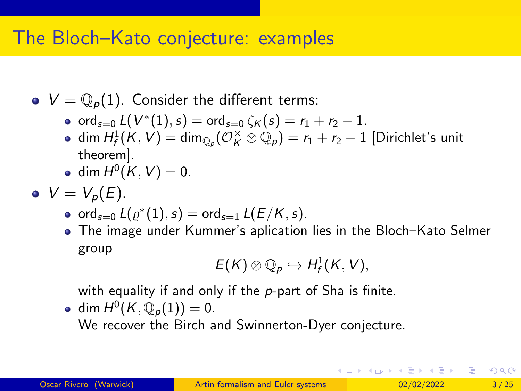## The Bloch–Kato conjecture: examples

- $\bullet V = \mathbb{Q}_p(1)$ . Consider the different terms:
	- ord $_{s=0}$   $L(V^*(1), s) = \text{ord}_{s=0} \zeta_{\mathcal{K}}(s) = r_1 + r_2 1.$
	- dim  $H_f^1(K, V) = \dim_{\mathbb{Q}_p} (\mathcal{O}_K^{\times} \otimes \mathbb{Q}_p) = r_1 + r_2 1$  [Dirichlet's unit theorem].
	- $\dim H^0(K, V) = 0.$
- $V = V_p(E)$ .
	- $\operatorname{ord}_{s=0} L(\varrho^*(1), s) = \operatorname{ord}_{s=1} L(E/K, s).$
	- The image under Kummer's aplication lies in the Bloch–Kato Selmer group

$$
E(K)\otimes \mathbb{Q}_p\hookrightarrow H^1_f(K,V),
$$

with equality if and only if the  $p$ -part of Sha is finite.

dim  $H^0(K, \mathbb{Q}_p(1)) = 0$ .

We recover the Birch and Swinnerton-Dyer conjecture.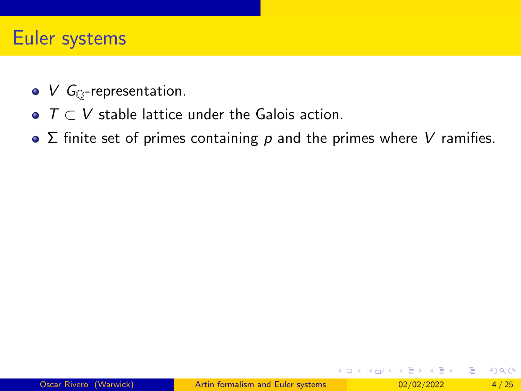### Euler systems

- $\bullet$  V  $G_{\mathbb{O}}$ -representation.
- $\bullet$   $\top \subset V$  stable lattice under the Galois action.
- $\bullet$   $\Sigma$  finite set of primes containing p and the primes where V ramifies.

**A BAY** э

**K ロ ト K 伺 ト K ミ ト**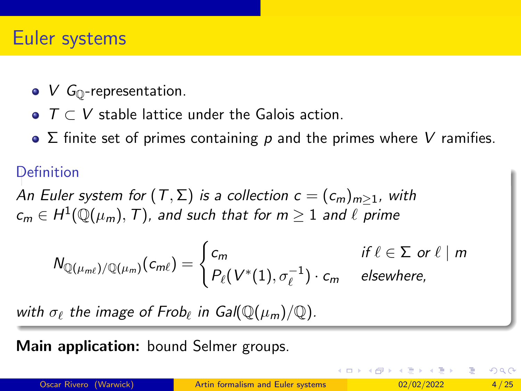### Euler systems

- $\bullet$  V  $G_{\mathbb{O}}$ -representation.
- $\bullet$   $\top$   $\subset$   $V$  stable lattice under the Galois action.
- $\bullet$   $\Sigma$  finite set of primes containing p and the primes where V ramifies.

#### Definition

An Euler system for  $(T, \Sigma)$  is a collection  $c = (c_m)_{m \geq 1}$ , with  $\mathsf{c}_m\in H^1(\mathbb{Q}(\mu_m),\,\mathcal{T})$ , and such that for  $m\geq 1$  and  $\ell$  prime

$$
N_{\mathbb{Q}(\mu_{m\ell})/\mathbb{Q}(\mu_m)}(c_{m\ell}) = \begin{cases} c_m & \text{if } \ell \in \Sigma \text{ or } \ell \mid m \\ P_{\ell}(V^*(1), \sigma_{\ell}^{-1}) \cdot c_m & \text{elsewhere,} \end{cases}
$$

with  $\sigma_{\ell}$  the image of Frob $_{\ell}$  in Gal $(\mathbb{Q}(\mu_m)/\mathbb{Q})$ .

Main application: bound Selmer groups.

イロト イ母 トイヨ トイヨ トー

 $QQQ$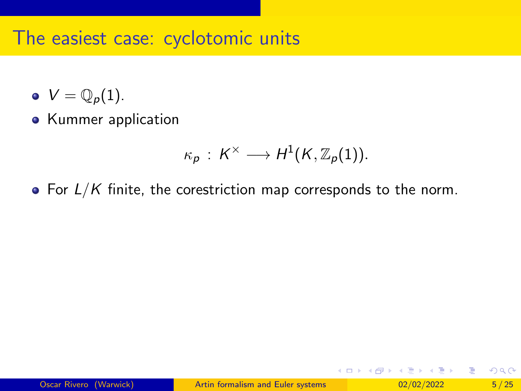#### The easiest case: cyclotomic units

- $V = \mathbb{Q}_p(1)$ .
- Kummer application

$$
\kappa_{p} \,:\, K^{\times} \longrightarrow H^{1}(K, \mathbb{Z}_{p}(1)).
$$

• For  $L/K$  finite, the corestriction map corresponds to the norm.

イロト イ押 トイヨ トイヨ トー

э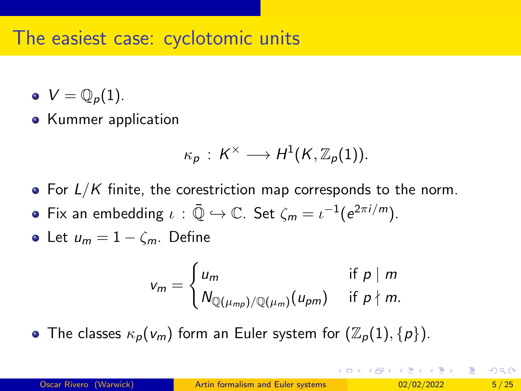#### The easiest case: cyclotomic units

- $V = \mathbb{Q}_n(1)$ .
- Kummer application

$$
\kappa_p: K^\times \longrightarrow H^1(K,\mathbb{Z}_p(1)).
$$

- For  $L/K$  finite, the corestriction map corresponds to the norm.
- Fix an embedding  $\iota : \bar{\mathbb{Q}} \hookrightarrow \mathbb{C}$ . Set  $\zeta_m = \iota^{-1}(e^{2\pi i/m})$ .
- Let  $u_m = 1 \zeta_m$ . Define

$$
v_m = \begin{cases} u_m & \text{if } p \mid m \\ N_{\mathbb{Q}(\mu_{mp})/\mathbb{Q}(\mu_m)}(u_{pm}) & \text{if } p \nmid m. \end{cases}
$$

• The classes  $\kappa_p(v_m)$  form an Euler system for  $(\mathbb{Z}_p(1), \{p\})$ .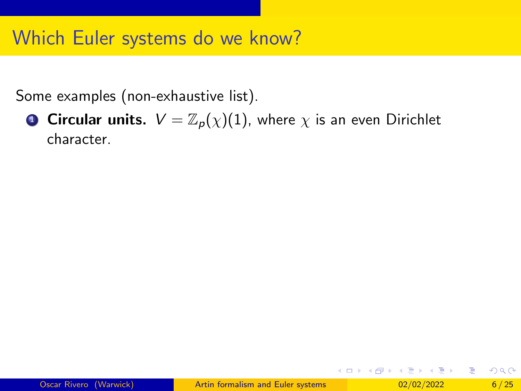# Which Euler systems do we know?

Some examples (non-exhaustive list).

**1 Circular units.**  $V = \mathbb{Z}_p(\chi)(1)$ , where  $\chi$  is an even Dirichlet character.

イロト イ押 トイヨ トイヨ トーヨ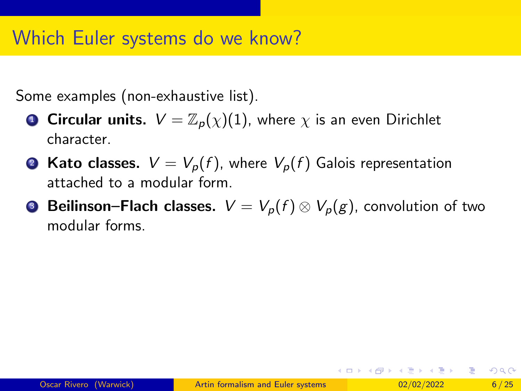# Which Euler systems do we know?

Some examples (non-exhaustive list).

- **Circular units.**  $V = \mathbb{Z}_p(\chi)(1)$ , where  $\chi$  is an even Dirichlet character.
- Kato classes.  $V = V_p(f)$ , where  $V_p(f)$  Galois representation attached to a modular form.
- **3 Beilinson–Flach classes.**  $V = V_p(f) \otimes V_p(g)$ , convolution of two modular forms.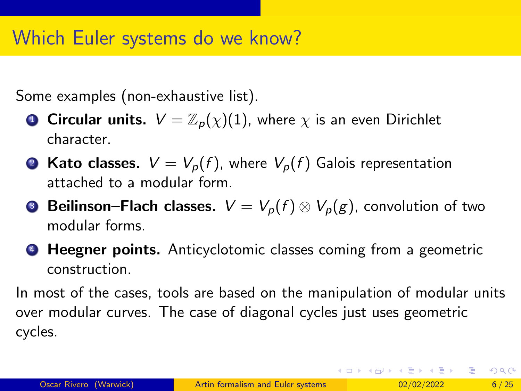# Which Euler systems do we know?

Some examples (non-exhaustive list).

- **Circular units.**  $V = \mathbb{Z}_p(\chi)(1)$ , where  $\chi$  is an even Dirichlet character.
- **2 Kato classes.**  $V = V_p(f)$ , where  $V_p(f)$  Galois representation attached to a modular form.
- **Beilinson–Flach classes.**  $V = V_p(f) \otimes V_p(g)$ , convolution of two modular forms.
- **4 Heegner points.** Anticyclotomic classes coming from a geometric construction.

In most of the cases, tools are based on the manipulation of modular units over modular curves. The case of diagonal cycles just uses geometric cycles.

K ロ ▶ K 個 ▶ K 로 ▶ K 로 ▶ 『로 『 YO Q @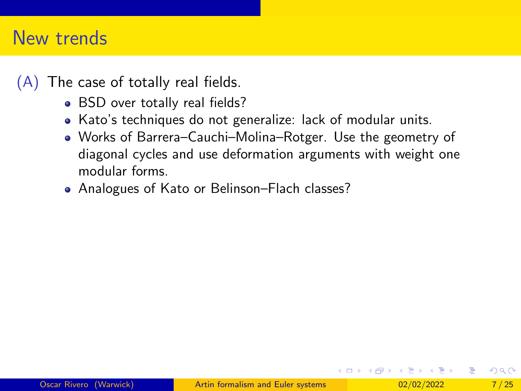- BSD over totally real fields?
- Kato's techniques do not generalize: lack of modular units.
- Works of Barrera–Cauchi–Molina–Rotger. Use the geometry of diagonal cycles and use deformation arguments with weight one modular forms.
- Analogues of Kato or Belinson–Flach classes?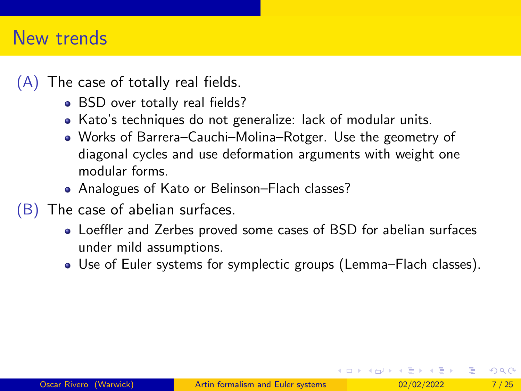- BSD over totally real fields?
- Kato's techniques do not generalize: lack of modular units.
- Works of Barrera–Cauchi–Molina–Rotger. Use the geometry of diagonal cycles and use deformation arguments with weight one modular forms.
- Analogues of Kato or Belinson–Flach classes?
- (B) The case of abelian surfaces.
	- Loeffler and Zerbes proved some cases of BSD for abelian surfaces under mild assumptions.
	- Use of Euler systems for symplectic groups (Lemma–Flach classes).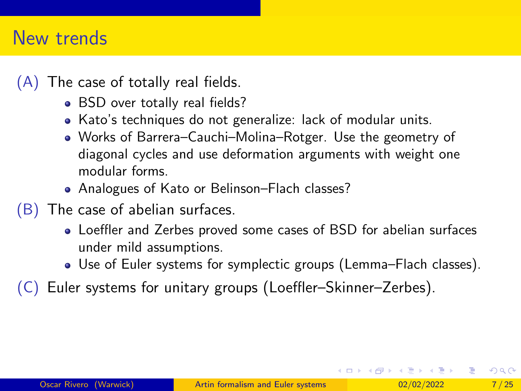- BSD over totally real fields?
- Kato's techniques do not generalize: lack of modular units.
- Works of Barrera–Cauchi–Molina–Rotger. Use the geometry of diagonal cycles and use deformation arguments with weight one modular forms.
- Analogues of Kato or Belinson–Flach classes?
- (B) The case of abelian surfaces.
	- Loeffler and Zerbes proved some cases of BSD for abelian surfaces under mild assumptions.
	- Use of Euler systems for symplectic groups (Lemma–Flach classes).
- (C) Euler systems for unitary groups (Loeffler–Skinner–Zerbes).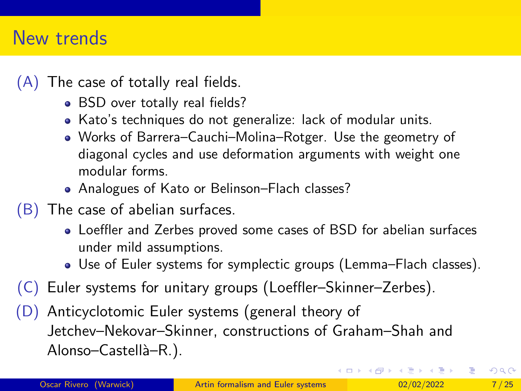- BSD over totally real fields?
- Kato's techniques do not generalize: lack of modular units.
- Works of Barrera–Cauchi–Molina–Rotger. Use the geometry of diagonal cycles and use deformation arguments with weight one modular forms.
- Analogues of Kato or Belinson–Flach classes?
- (B) The case of abelian surfaces.
	- Loeffler and Zerbes proved some cases of BSD for abelian surfaces under mild assumptions.
	- Use of Euler systems for symplectic groups (Lemma–Flach classes).
- (C) Euler systems for unitary groups (Loeffler–Skinner–Zerbes).
- (D) Anticyclotomic Euler systems (general theory of Jetchev–Nekovar–Skinner, constructions of Graham–Shah and Alonso–Castellà–R.).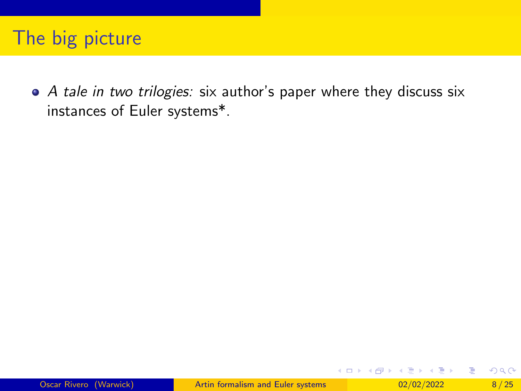• A tale in two trilogies: six author's paper where they discuss six instances of Euler systems\*.

医重新 人 э

**K ロ ▶ K 何 ▶ K**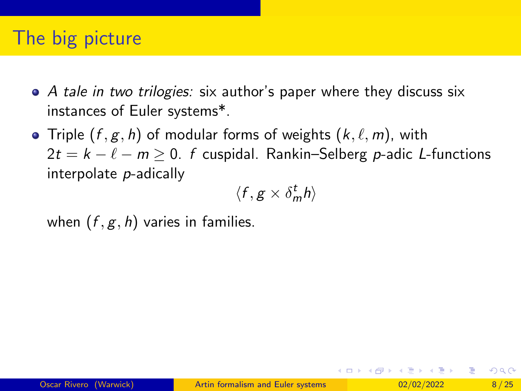- A tale in two trilogies: six author's paper where they discuss six instances of Euler systems\*.
- Triple  $(f, g, h)$  of modular forms of weights  $(k, \ell, m)$ , with  $2t = k - \ell - m \ge 0$ . f cuspidal. Rankin–Selberg p-adic L-functions interpolate p-adically

$$
\langle f, g \times \delta_m^t h \rangle
$$

when  $(f, g, h)$  varies in families.

イロト イ母 トイヨ トイヨ トー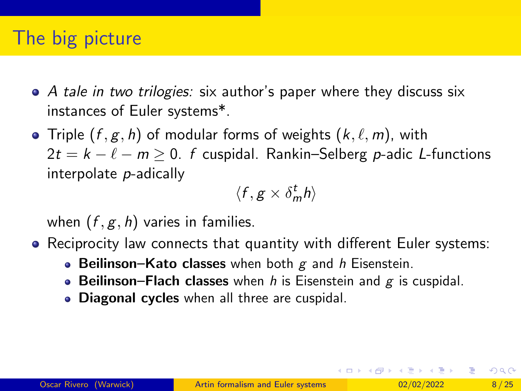- A tale in two trilogies: six author's paper where they discuss six instances of Euler systems\*.
- Triple  $(f, g, h)$  of modular forms of weights  $(k, \ell, m)$ , with  $2t = k - \ell - m \ge 0$ . f cuspidal. Rankin–Selberg p-adic L-functions interpolate p-adically

$$
\langle f, g \times \delta_m^t h \rangle
$$

when  $(f, g, h)$  varies in families.

- Reciprocity law connects that quantity with different Euler systems:
	- Beilinson–Kato classes when both  $g$  and h Eisenstein.
	- Beilinson–Flach classes when h is Eisenstein and  $g$  is cuspidal.
	- Diagonal cycles when all three are cuspidal.

 $A \equiv \begin{pmatrix} 1 & 0 & 0 \\ 0 & 1 & 0 \\ 0 & 0 & 0 \end{pmatrix} \in A \Rightarrow A \equiv \begin{pmatrix} 1 & 0 & 0 \\ 0 & 1 & 0 \\ 0 & 0 & 0 \end{pmatrix} \in A$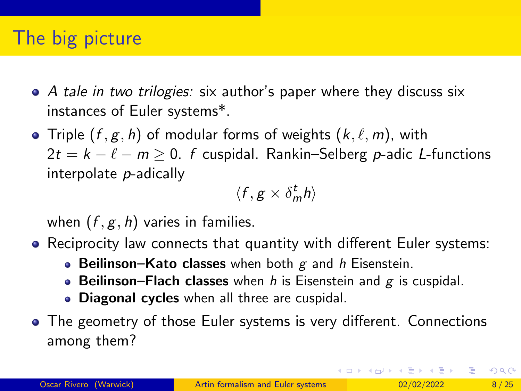- A tale in two trilogies: six author's paper where they discuss six instances of Euler systems\*.
- Triple  $(f, g, h)$  of modular forms of weights  $(k, \ell, m)$ , with  $2t = k - \ell - m \ge 0$ . f cuspidal. Rankin–Selberg p-adic L-functions interpolate p-adically

$$
\langle f, g \times \delta_m^t h \rangle
$$

when  $(f, g, h)$  varies in families.

- Reciprocity law connects that quantity with different Euler systems:
	- Beilinson–Kato classes when both  $g$  and h Eisenstein.
	- Beilinson–Flach classes when h is Eisenstein and  $g$  is cuspidal.
	- Diagonal cycles when all three are cuspidal.
- The geometry of those Euler systems is very different. Connections among them?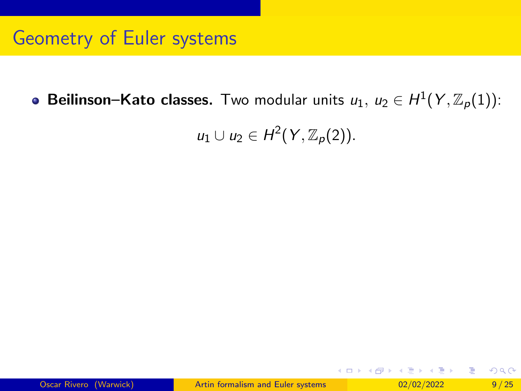**Beilinson–Kato classes.** Two modular units  $u_1,\ u_2\in H^1(Y,{\mathbb Z}_p(1))$ :

 $u_1 \cup u_2 \in H^2(Y, \mathbb{Z}_p(2)).$ 

K ロ > K dj > K 글 > K 글 > H 글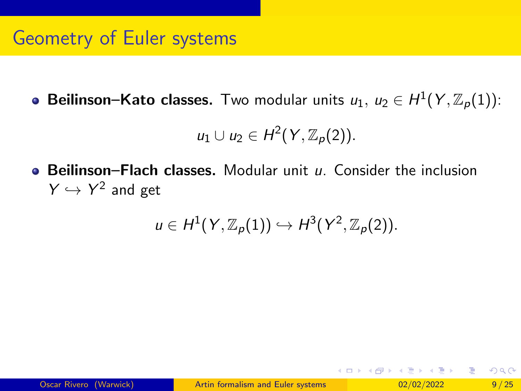**Beilinson–Kato classes.** Two modular units  $u_1,\ u_2\in H^1(Y,{\mathbb Z}_p(1))$ :

$$
u_1\cup u_2\in H^2(Y,\mathbb{Z}_p(2)).
$$

 $\bullet$  Beilinson–Flach classes. Modular unit  $u$ . Consider the inclusion  $Y \hookrightarrow Y^2$  and get

$$
u\in H^1(Y,\mathbb{Z}_p(1))\hookrightarrow H^3(Y^2,\mathbb{Z}_p(2)).
$$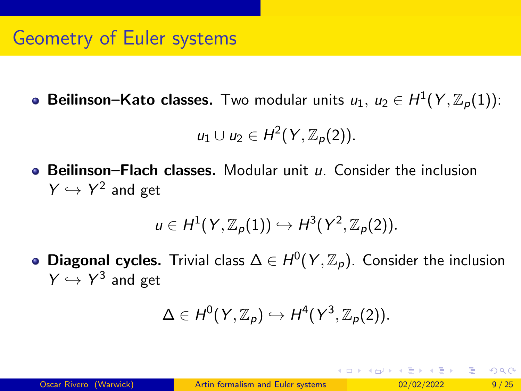**Beilinson–Kato classes.** Two modular units  $u_1,\ u_2\in H^1(Y,{\mathbb Z}_p(1))$ :

$$
u_1\cup u_2\in H^2(Y,\mathbb{Z}_p(2)).
$$

**• Beilinson–Flach classes.** Modular unit u. Consider the inclusion  $Y \hookrightarrow Y^2$  and get

$$
u\in H^1(Y,\mathbb{Z}_p(1))\hookrightarrow H^3(Y^2,\mathbb{Z}_p(2)).
$$

Diagonal cycles. Trivial class  $\Delta \in H^0(Y, \mathbb{Z}_p)$ . Consider the inclusion  $Y \hookrightarrow Y^3$  and get

$$
\Delta \in H^0(Y,{\mathbb Z}_p) \hookrightarrow H^4(Y^3,{\mathbb Z}_p(2)).
$$

**K ロ ト K 伺 ト K ミ ト**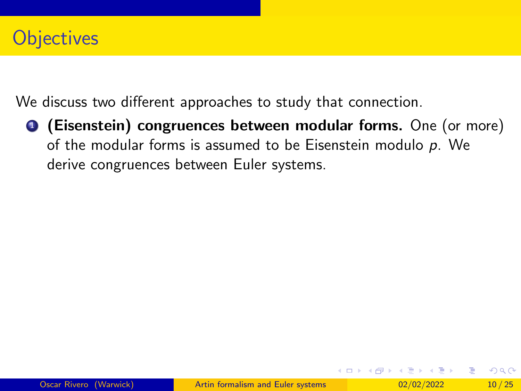# **Objectives**

We discuss two different approaches to study that connection.

**1** (Eisenstein) congruences between modular forms. One (or more) of the modular forms is assumed to be Eisenstein modulo p. We derive congruences between Euler systems.

イロト イ押 トイヨ トイヨ トー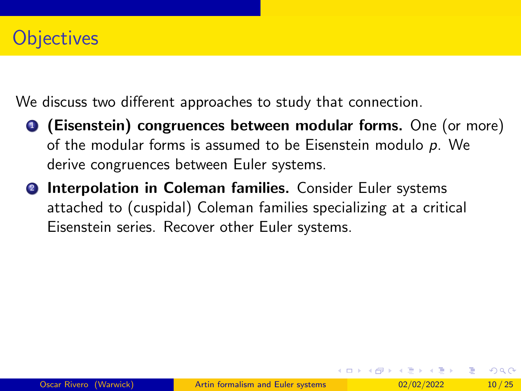# **Objectives**

We discuss two different approaches to study that connection.

- **1** (Eisenstein) congruences between modular forms. One (or more) of the modular forms is assumed to be Eisenstein modulo  $p$ . We derive congruences between Euler systems.
- **2 Interpolation in Coleman families.** Consider Euler systems attached to (cuspidal) Coleman families specializing at a critical Eisenstein series. Recover other Euler systems.

イロト イ押 トイヨ トイヨ トー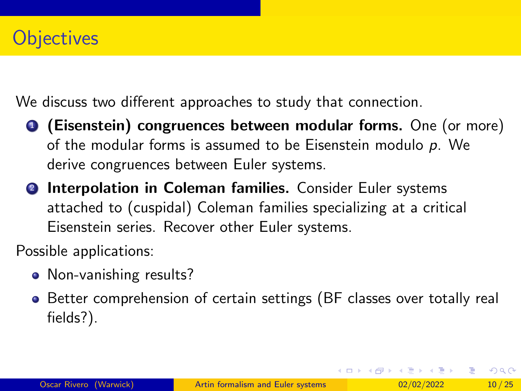We discuss two different approaches to study that connection.

- **1** (Eisenstein) congruences between modular forms. One (or more) of the modular forms is assumed to be Eisenstein modulo p. We derive congruences between Euler systems.
- **2 Interpolation in Coleman families.** Consider Euler systems attached to (cuspidal) Coleman families specializing at a critical Eisenstein series. Recover other Euler systems.

Possible applications:

- Non-vanishing results?
- Better comprehension of certain settings (BF classes over totally real fields?).

イロト イ母 トイヨ トイヨ トー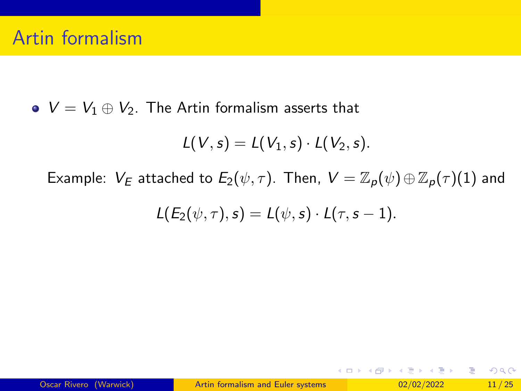•  $V = V_1 \oplus V_2$ . The Artin formalism asserts that

$$
L(V,s)=L(V_1,s)\cdot L(V_2,s).
$$

Example:  $V_E$  attached to  $E_2(\psi, \tau)$ . Then,  $V = \mathbb{Z}_p(\psi) \oplus \mathbb{Z}_p(\tau)$  and

$$
L(E_2(\psi,\tau),s)=L(\psi,s)\cdot L(\tau,s-1).
$$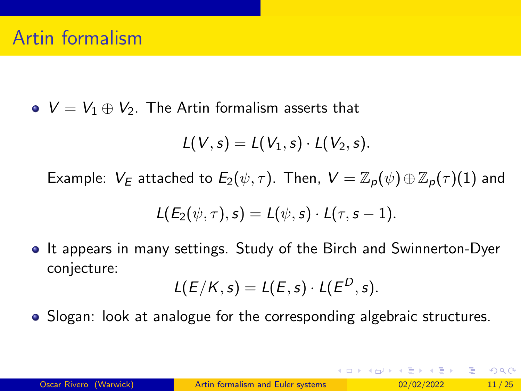•  $V = V_1 \oplus V_2$ . The Artin formalism asserts that

$$
L(V,s)=L(V_1,s)\cdot L(V_2,s).
$$

Example:  $V_E$  attached to  $E_2(\psi, \tau)$ . Then,  $V = \mathbb{Z}_p(\psi) \oplus \mathbb{Z}_p(\tau)$ (1) and

$$
L(E_2(\psi,\tau),s)=L(\psi,s)\cdot L(\tau,s-1).
$$

It appears in many settings. Study of the Birch and Swinnerton-Dyer conjecture:

$$
L(E/K,s)=L(E,s)\cdot L(E^D,s).
$$

• Slogan: look at analogue for the corresponding algebraic structures.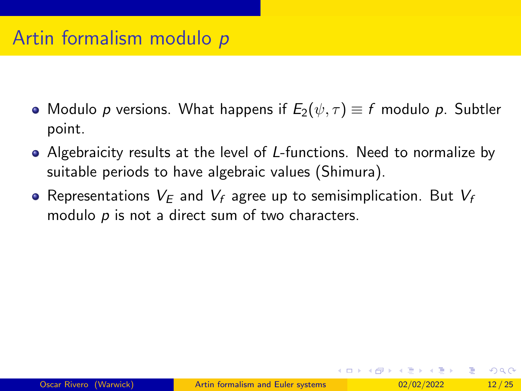# Artin formalism modulo p

- Modulo p versions. What happens if  $E_2(\psi, \tau) \equiv f$  modulo p. Subtler point.
- Algebraicity results at the level of L-functions. Need to normalize by suitable periods to have algebraic values (Shimura).
- Representations  $V_E$  and  $V_f$  agree up to semisimplication. But  $V_f$ modulo  $p$  is not a direct sum of two characters.

イロト イ押 トイヨ トイヨ トー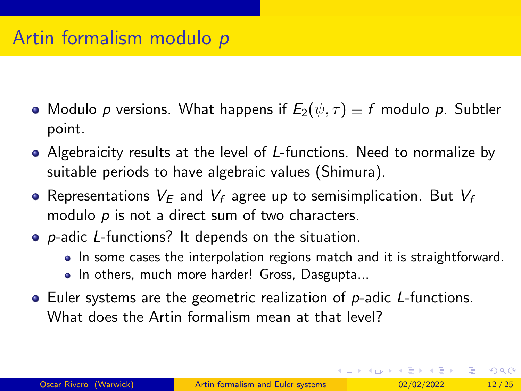# Artin formalism modulo p

- Modulo p versions. What happens if  $E_2(\psi, \tau) \equiv f$  modulo p. Subtler point.
- Algebraicity results at the level of L-functions. Need to normalize by suitable periods to have algebraic values (Shimura).
- Representations  $V_E$  and  $V_f$  agree up to semisimplication. But  $V_f$ modulo  $p$  is not a direct sum of two characters.
- **•** *p*-adic *L*-functions? It depends on the situation.
	- In some cases the interpolation regions match and it is straightforward.
	- In others, much more harder! Gross, Dasgupta...
- $\bullet$  Euler systems are the geometric realization of  $p$ -adic *L*-functions. What does the Artin formalism mean at that level?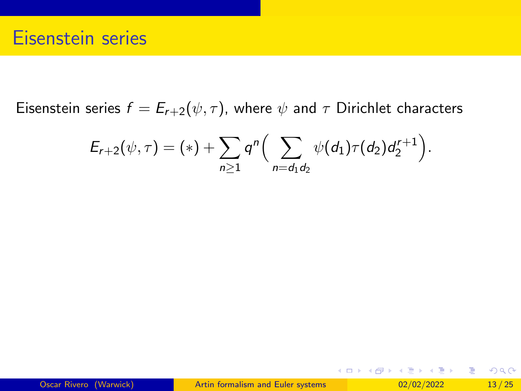Eisenstein series  $f = E_{r+2}(\psi, \tau)$ , where  $\psi$  and  $\tau$  Dirichlet characters

$$
E_{r+2}(\psi,\tau)=(*)+\sum_{n\geq 1}q^n\Big(\sum_{n=d_1d_2}\psi(d_1)\tau(d_2)d_2^{r+1}\Big).
$$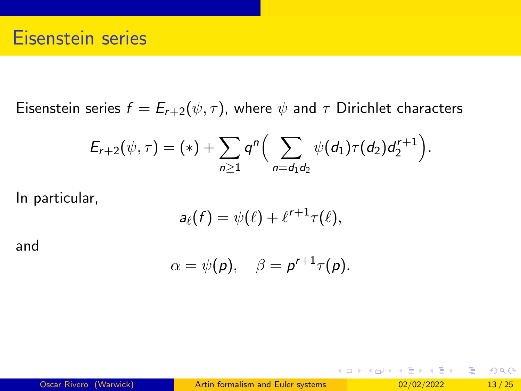Eisenstein series  $f = E_{r+2}(\psi, \tau)$ , where  $\psi$  and  $\tau$  Dirichlet characters

$$
E_{r+2}(\psi,\tau)=(*)+\sum_{n\geq 1}q^n\Big(\sum_{n=d_1d_2}\psi(d_1)\tau(d_2)d_2^{r+1}\Big).
$$

In particular,

$$
a_{\ell}(f) = \psi(\ell) + \ell^{r+1}\tau(\ell),
$$

and

$$
\alpha=\psi(\rho),\quad \beta=p^{r+1}\tau(\rho).
$$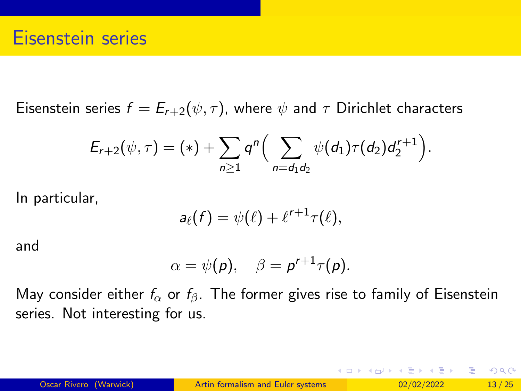Eisenstein series  $f = E_{r+2}(\psi, \tau)$ , where  $\psi$  and  $\tau$  Dirichlet characters

$$
E_{r+2}(\psi,\tau)=(*)+\sum_{n\geq 1}q^n\Big(\sum_{n=d_1d_2}\psi(d_1)\tau(d_2)d_2^{r+1}\Big).
$$

In particular,

$$
a_{\ell}(f) = \psi(\ell) + \ell^{r+1}\tau(\ell),
$$

and

$$
\alpha=\psi(\rho),\quad \beta=p^{r+1}\tau(\rho).
$$

May consider either  $f_{\alpha}$  or  $f_{\beta}$ . The former gives rise to family of Eisenstein series. Not interesting for us.

イロト イ母 トイミト イヨト ニヨー りんぴ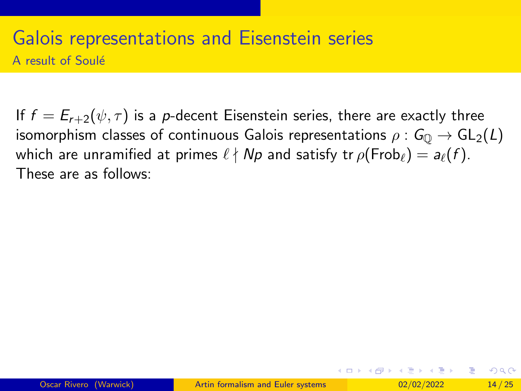#### Galois representations and Eisenstein series A result of Soulé

If  $f = E_{r+2}(\psi, \tau)$  is a p-decent Eisenstein series, there are exactly three isomorphism classes of continuous Galois representations  $\rho: G_0 \to GL_2(L)$ which are unramified at primes  $\ell \nmid Np$  and satisfy tr  $\rho(\text{Frob}_{\ell}) = a_{\ell}(f)$ . These are as follows:

イロト イ何 トイヨト イヨト ニヨー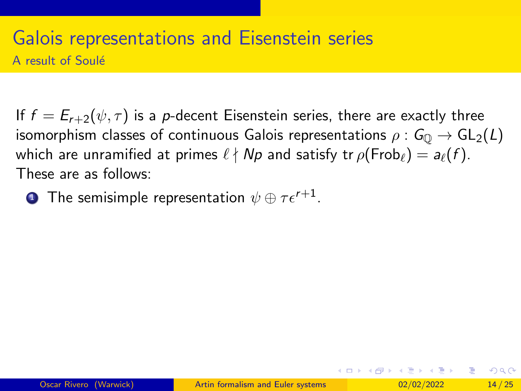### Galois representations and Eisenstein series A result of Soulé

If  $f = E_{r+2}(\psi, \tau)$  is a p-decent Eisenstein series, there are exactly three isomorphism classes of continuous Galois representations  $\rho: G_0 \to GL_2(L)$ which are unramified at primes  $\ell \nmid Np$  and satisfy tr  $\rho(\text{Frob}_{\ell}) = a_{\ell}(f)$ . These are as follows:

 $\textbf{1}$  The semisimple representation  $\psi\oplus\tau\epsilon^{r+1}.$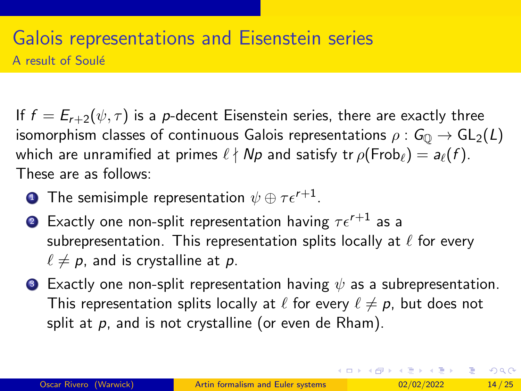## <span id="page-36-0"></span>Galois representations and Eisenstein series A result of Soulé

If  $f = E_{r+2}(\psi, \tau)$  is a p-decent Eisenstein series, there are exactly three isomorphism classes of continuous Galois representations  $\rho: G_0 \to GL_2(L)$ which are unramified at primes  $\ell \nmid Np$  and satisfy tr  $\rho(\text{Frob}_{\ell}) = a_{\ell}(f)$ . These are as follows:

- $\textbf{1}$  The semisimple representation  $\psi\oplus\tau\epsilon^{r+1}.$
- 2 Exactly one non-split representation having  $\tau \epsilon^{r+1}$  as a subrepresentation. This representation splits locally at  $\ell$  for every  $\ell \neq p$ , and is crystalline at p.
- **3** Exactly one non-split representation having  $\psi$  as a subrepresentation. This representation splits locally at  $\ell$  for every  $\ell \neq p$ , but does not split at  $p$ , and is not crystalline (or even de Rham).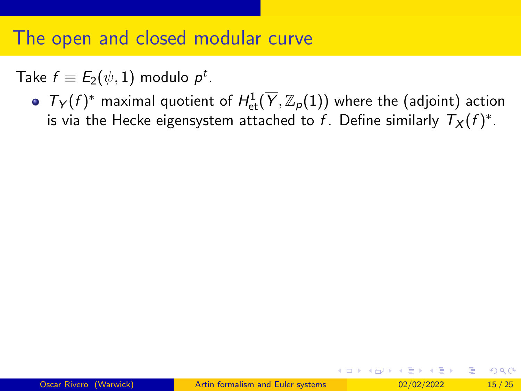<span id="page-37-0"></span>Take  $f\equiv E_2(\psi,1)$  modulo  $\rho^t.$ 

 $T_Y(f)^*$  maximal quotient of  $H^1_{\text{et}}(\overline{Y}, \mathbb{Z}_p(1))$  where the (adjoint) action is via the Hecke eigensystem attached to  $f$ . Define similarly  $\mathcal{T}_X(f)^*.$ 

イロト イ押 トイヨ トイヨ トー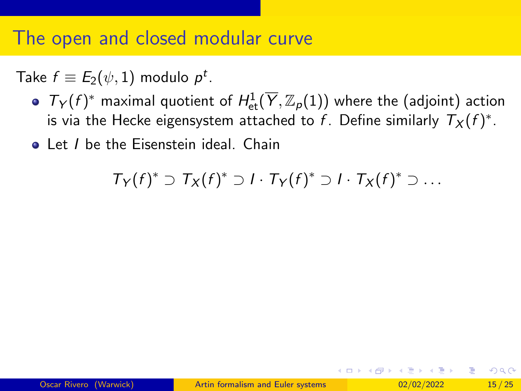Take  $f\equiv E_2(\psi,1)$  modulo  $\rho^t.$ 

- $T_Y(f)^*$  maximal quotient of  $H^1_{\text{et}}(\overline{Y}, \mathbb{Z}_p(1))$  where the (adjoint) action is via the Hecke eigensystem attached to  $f$ . Define similarly  $\mathcal{T}_X(f)^*.$
- Let *I* be the Eisenstein ideal. Chain

 $T_Y(f)^* \supset T_X(f)^* \supset I \cdot T_Y(f)^* \supset I \cdot T_X(f)^* \supset \ldots$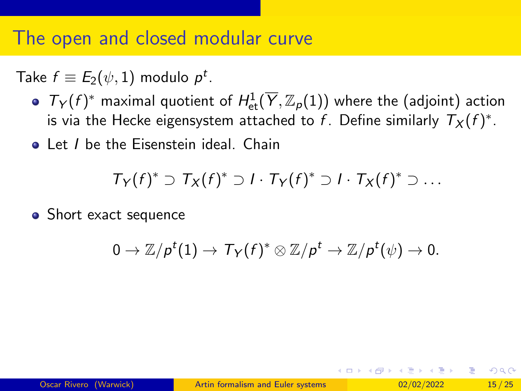Take  $f\equiv E_2(\psi,1)$  modulo  $\rho^t.$ 

- $T_Y(f)^*$  maximal quotient of  $H^1_{\text{et}}(\overline{Y}, \mathbb{Z}_p(1))$  where the (adjoint) action is via the Hecke eigensystem attached to  $f$ . Define similarly  $\mathcal{T}_X(f)^*.$
- Let I be the Eisenstein ideal. Chain

$$
T_Y(f)^* \supset T_X(f)^* \supset I \cdot T_Y(f)^* \supset I \cdot T_X(f)^* \supset \ldots
$$

• Short exact sequence

$$
0\to {\mathbb Z}/p^t(1)\to \textit{T}_{\textstyle \mathcal Y}(f)^*\otimes {\mathbb Z}/p^t\to {\mathbb Z}/p^t(\psi)\to 0.
$$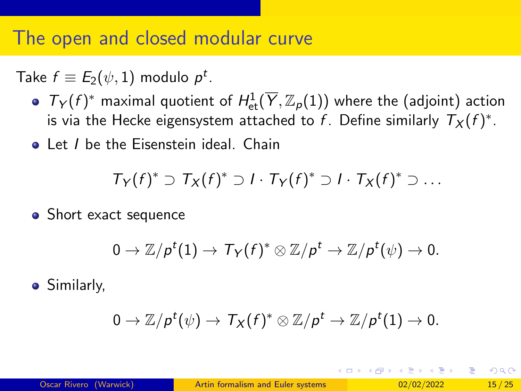<span id="page-40-0"></span>Take  $f\equiv E_2(\psi,1)$  modulo  $\rho^t.$ 

- $T_Y(f)^*$  maximal quotient of  $H^1_{\text{et}}(\overline{Y}, \mathbb{Z}_p(1))$  where the (adjoint) action is via the Hecke eigensystem attached to  $f$ . Define similarly  $\mathcal{T}_X(f)^*.$
- Let I be the Eisenstein ideal. Chain

$$
T_Y(f)^* \supset T_X(f)^* \supset I \cdot T_Y(f)^* \supset I \cdot T_X(f)^* \supset \ldots
$$

• Short exact sequence

$$
0\to {\mathbb Z}/\rho^t(1)\to \textit{Ty}(f)^*\otimes {\mathbb Z}/\rho^t\to {\mathbb Z}/\rho^t(\psi)\to 0.
$$

**•** Similarly,

$$
0 \to \mathbb{Z}/p^t(\psi) \to \mathcal{T}_X(f)^* \otimes \mathbb{Z}/p^t \to \mathbb{Z}/p^t(1) \to 0.
$$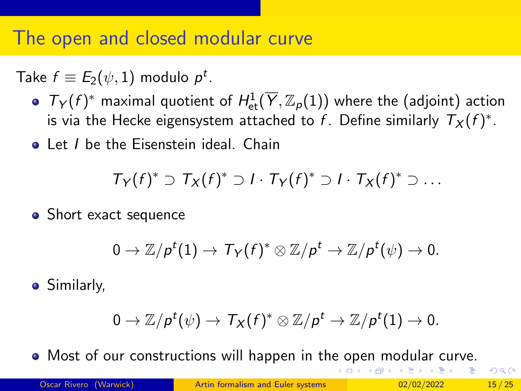<span id="page-41-0"></span>Take  $f\equiv E_2(\psi,1)$  modulo  $\rho^t.$ 

- $T_Y(f)^*$  maximal quotient of  $H^1_{\text{et}}(\overline{Y}, \mathbb{Z}_p(1))$  where the (adjoint) action is via the Hecke eigensystem attached to  $f$ . Define similarly  $\mathcal{T}_X(f)^*.$
- Let I be the Eisenstein ideal. Chain

$$
T_Y(f)^* \supset T_X(f)^* \supset I \cdot T_Y(f)^* \supset I \cdot T_X(f)^* \supset \ldots
$$

• Short exact sequence

$$
0\to {\mathbb Z}/\rho^t(1)\to \textit{Ty}(f)^*\otimes {\mathbb Z}/\rho^t\to {\mathbb Z}/\rho^t(\psi)\to 0.
$$

**•** Similarly,

$$
0 \to \mathbb{Z}/p^t(\psi) \to \mathcal{T}_X(f)^* \otimes \mathbb{Z}/p^t \to \mathbb{Z}/p^t(1) \to 0.
$$

Most of our constructions will happen in th[e o](#page-40-0)[pe](#page-42-0)[n](#page-36-0)[m](#page-41-0)[od](#page-0-0)[ula](#page-69-0)[r](#page-0-0) [cur](#page-69-0)[ve](#page-0-0)[.](#page-69-0) **◆ ロ ▶ → 何 ▶ →** 

 $\Omega$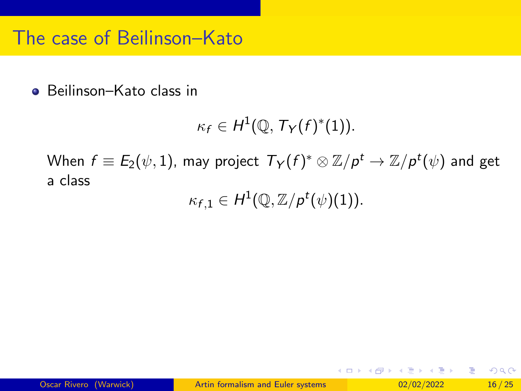## <span id="page-42-0"></span>The case of Beilinson–Kato

● Beilinson–Kato class in

$$
\kappa_f \in H^1(\mathbb{Q}, T_Y(f)^*(1)).
$$

When  $f\equiv\mathit{E}_2(\psi,1)$ , may project  $\mathcal{T}_\mathsf{Y}(f)^*\otimes\mathbb{Z}/\rho^t\to\mathbb{Z}/\rho^t(\psi)$  and get a class

 $\kappa_{f,1} \in H^1(\mathbb{Q}, \mathbb{Z}/p^t(\psi)(1)).$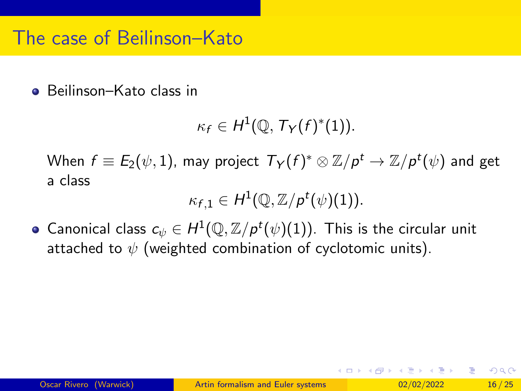## The case of Beilinson–Kato

● Beilinson–Kato class in

$$
\kappa_f\in H^1(\mathbb{Q},\mathcal{T}_Y(f)^*(1)).
$$

When  $f\equiv\mathit{E}_2(\psi,1)$ , may project  $\mathcal{T}_\mathsf{Y}(f)^*\otimes\mathbb{Z}/\rho^t\to\mathbb{Z}/\rho^t(\psi)$  and get a class

$$
\kappa_{f,1}\in H^1(\mathbb{Q},\mathbb{Z}/p^t(\psi)(1)).
$$

Canonical class  $c_{\psi} \in H^1(\mathbb{Q}, \mathbb{Z}/p^t(\psi)(1)).$  This is the circular unit attached to  $\psi$  (weighted combination of cyclotomic units).

 $\Omega$ 

イロト イ母 トイヨ トイヨ トー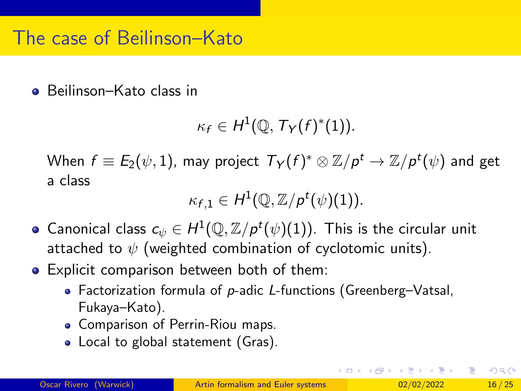## The case of Beilinson–Kato

● Beilinson–Kato class in

$$
\kappa_f\in H^1(\mathbb{Q},\mathcal{T}_Y(f)^*(1)).
$$

When  $f\equiv\mathit{E}_2(\psi,1)$ , may project  $\mathcal{T}_\mathsf{Y}(f)^*\otimes\mathbb{Z}/\rho^t\to\mathbb{Z}/\rho^t(\psi)$  and get a class

$$
\kappa_{f,1}\in H^1(\mathbb{Q},\mathbb{Z}/p^t(\psi)(1)).
$$

- Canonical class  $c_{\psi} \in H^1(\mathbb{Q}, \mathbb{Z}/p^t(\psi)(1)).$  This is the circular unit attached to  $\psi$  (weighted combination of cyclotomic units).
- **•** Explicit comparison between both of them:
	- Factorization formula of  $p$ -adic L-functions (Greenberg–Vatsal, Fukaya–Kato).
	- Comparison of Perrin-Riou maps.
	- Local to global statement (Gras).

イロト イ何 トイヨト イヨト ニヨー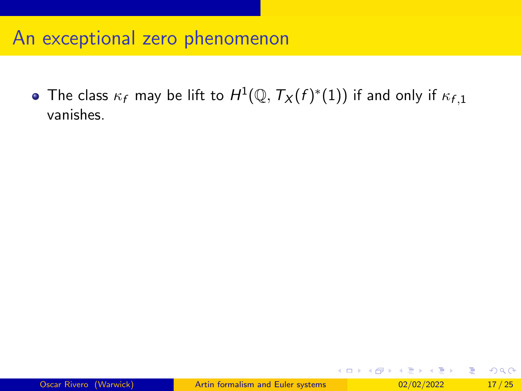## An exceptional zero phenomenon

The class  $\kappa_f$  may be lift to  $H^1(\mathbb{Q},\mathcal{T}_X(f)^*(1))$  if and only if  $\kappa_{f,1}$ vanishes.

一本 語 (を) … э

**∢ ロ ▶ ィ 何 ▶ ィ**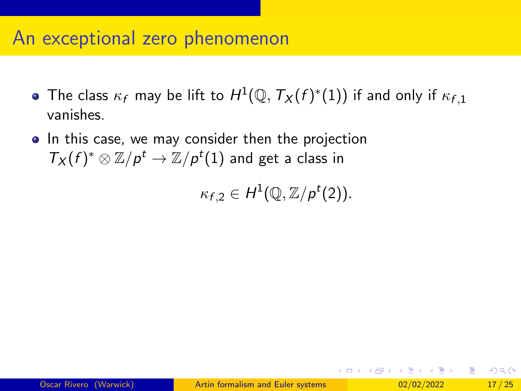### An exceptional zero phenomenon

- The class  $\kappa_f$  may be lift to  $H^1(\mathbb{Q},\mathcal{T}_X(f)^*(1))$  if and only if  $\kappa_{f,1}$ vanishes.
- In this case, we may consider then the projection  $\mathcal{T}_X(f)^*\otimes \mathbb{Z}/p^t\to \mathbb{Z}/p^t(1)$  and get a class in

 $\kappa_{f,2} \in H^1(\mathbb{Q}, \mathbb{Z}/p^t(2)).$ 

∢ □ ▶ ∢ <sup>□</sup> ▶ ∢ ∃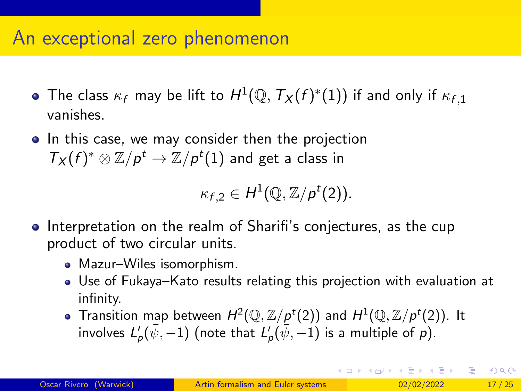## An exceptional zero phenomenon

- The class  $\kappa_f$  may be lift to  $H^1(\mathbb{Q},\mathcal{T}_X(f)^*(1))$  if and only if  $\kappa_{f,1}$ vanishes.
- In this case, we may consider then the projection  $\mathcal{T}_X(f)^*\otimes \mathbb{Z}/p^t\to \mathbb{Z}/p^t(1)$  and get a class in

 $\kappa_{f,2} \in H^1(\mathbb{Q}, \mathbb{Z}/p^t(2)).$ 

- **•** Interpretation on the realm of Sharifi's conjectures, as the cup product of two circular units.
	- Mazur-Wiles isomorphism.
	- Use of Fukaya–Kato results relating this projection with evaluation at infinity.
	- Transition map between  $H^2(\mathbb{Q}, \mathbb{Z}/p^t(2))$  and  $H^1(\mathbb{Q}, \mathbb{Z}/p^t(2))$ . It involves  $L'_\rho(\bar \psi,-1)$  (note that  $L'_\rho(\bar \psi,-1)$  is a multiple of  $\rho).$

K ロ ▶ K 個 ▶ K 로 ▶ K 로 ▶ 『 콘 』 900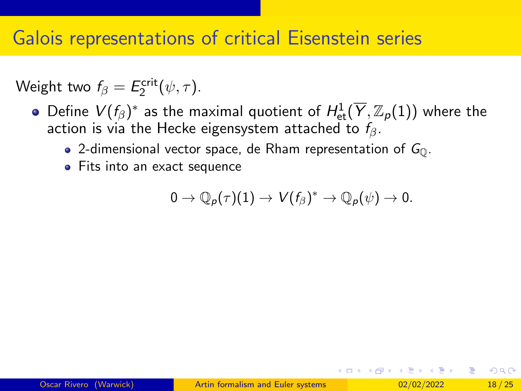## Galois representations of critical Eisenstein series

Weight two  $f_{\beta} = E_2^{\text{crit}}(\psi, \tau)$ .

- Define  $V(f_{\beta})^*$  as the maximal quotient of  $H^1_{\text{\rm et}}(\overline{Y},{{\mathbb Z}}_p(1))$  where the action is via the Hecke eigensystem attached to  $f_8$ .
	- 2-dimensional vector space, de Rham representation of  $G_{\mathbb{Q}}$ .
	- **•** Fits into an exact sequence

$$
0\to \mathbb{Q}_p(\tau)(1)\to V(f_\beta)^*\to \mathbb{Q}_p(\psi)\to 0.
$$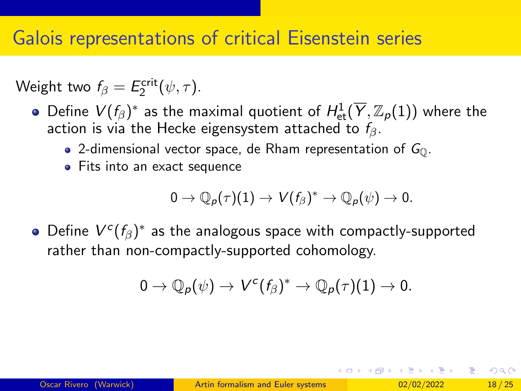# Galois representations of critical Eisenstein series

Weight two  $f_{\beta} = E_2^{\text{crit}}(\psi, \tau)$ .

- Define  $V(f_{\beta})^*$  as the maximal quotient of  $H^1_{\text{\rm et}}(\overline{Y},{{\mathbb Z}}_p(1))$  where the action is via the Hecke eigensystem attached to  $f_8$ .
	- 2-dimensional vector space, de Rham representation of  $G_{\text{O}}$ .
	- **•** Fits into an exact sequence

$$
0\to \mathbb{Q}_p(\tau)(1)\to V(f_\beta)^*\to \mathbb{Q}_p(\psi)\to 0.
$$

Define  $V^c(f_\beta)^*$  as the analogous space with compactly-supported rather than non-compactly-supported cohomology.

$$
0\to \mathbb{Q}_p(\psi)\to V^c(f_\beta)^*\to \mathbb{Q}_p(\tau)(1)\to 0.
$$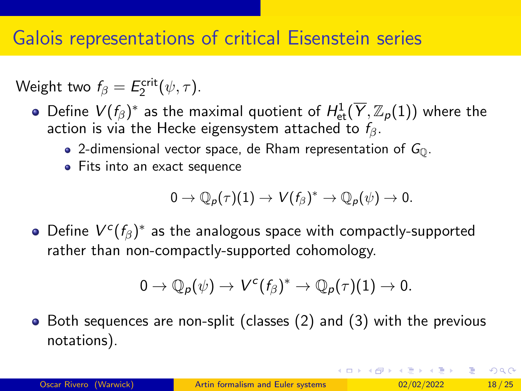# Galois representations of critical Eisenstein series

Weight two  $f_{\beta} = E_2^{\text{crit}}(\psi, \tau)$ .

- Define  $V(f_{\beta})^*$  as the maximal quotient of  $H^1_{\text{\rm et}}(\overline{Y},{{\mathbb Z}}_p(1))$  where the action is via the Hecke eigensystem attached to  $f_8$ .
	- 2-dimensional vector space, de Rham representation of  $G_{\text{O}}$ .
	- **•** Fits into an exact sequence

$$
0\to \mathbb{Q}_p(\tau)(1)\to V(f_\beta)^*\to \mathbb{Q}_p(\psi)\to 0.
$$

Define  $V^c(f_\beta)^*$  as the analogous space with compactly-supported rather than non-compactly-supported cohomology.

$$
0\to \mathbb{Q}_p(\psi)\to V^c(f_\beta)^*\to \mathbb{Q}_p(\tau)(1)\to 0.
$$

• Both sequences are non-split (classes (2) and (3) with the previous notations).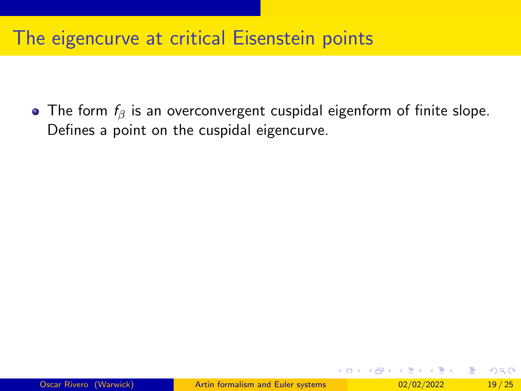# The eigencurve at critical Eisenstein points

• The form  $f_\beta$  is an overconvergent cuspidal eigenform of finite slope. Defines a point on the cuspidal eigencurve.

イロト イ押 トイヨ トイヨ トー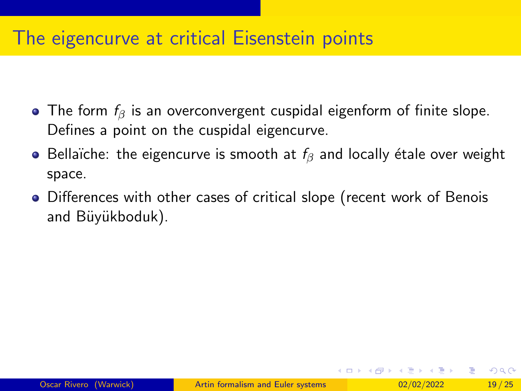# The eigencurve at critical Eisenstein points

- The form  $f_\beta$  is an overconvergent cuspidal eigenform of finite slope. Defines a point on the cuspidal eigencurve.
- Bellaïche: the eigencurve is smooth at  $f_\beta$  and locally étale over weight space.
- Differences with other cases of critical slope (recent work of Benois and Büyükboduk).

 $\Omega$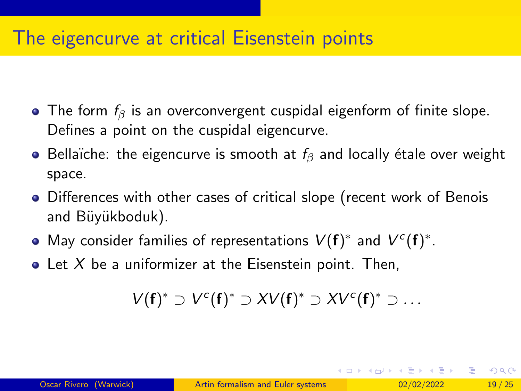# The eigencurve at critical Eisenstein points

- The form  $f_\beta$  is an overconvergent cuspidal eigenform of finite slope. Defines a point on the cuspidal eigencurve.
- **•** Bellaïche: the eigencurve is smooth at  $f_\beta$  and locally étale over weight space.
- Differences with other cases of critical slope (recent work of Benois and Büyükboduk).
- May consider families of representations  $V(f)^*$  and  $V^c(f)^*$ .
- $\bullet$  Let X be a uniformizer at the Eisenstein point. Then,

$$
V(\boldsymbol{f})^*\supset V^c(\boldsymbol{f})^*\supset XV(\boldsymbol{f})^*\supset XV^c(\boldsymbol{f})^*\supset\ldots
$$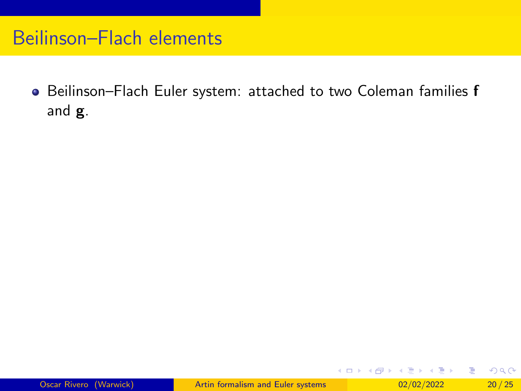Beilinson–Flach Euler system: attached to two Coleman families f and g.

イロト イ押ト イヨト イヨトー

重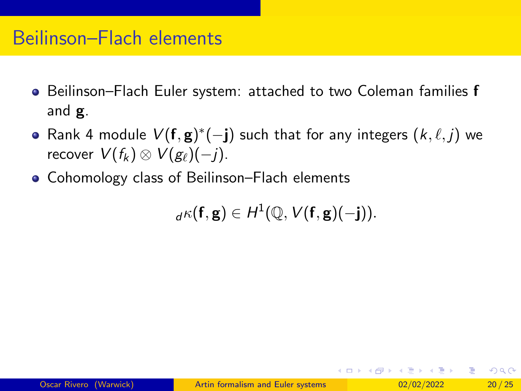- **•** Beilinson–Flach Euler system: attached to two Coleman families **f** and g.
- Rank 4 module  $V(\mathbf{f}, \mathbf{g})^*(-\mathbf{j})$  such that for any integers  $(k, \ell, j)$  we recover  $V(f_k) \otimes V(g_{\ell})(-i)$ .
- Cohomology class of Beilinson–Flach elements

 ${}_{d}\kappa(\mathbf{f},\mathbf{g})\in H^1(\mathbb{Q},\mathcal{V}(\mathbf{f},\mathbf{g})(-\mathbf{j})).$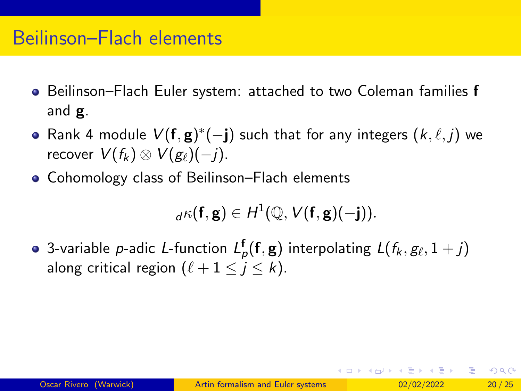- **•** Beilinson–Flach Euler system: attached to two Coleman families **f** and g.
- Rank 4 module  $V(\mathbf{f}, \mathbf{g})^*(-\mathbf{j})$  such that for any integers  $(k, \ell, j)$  we recover  $V(f_k) \otimes V(g_{\ell})(-i)$ .
- Cohomology class of Beilinson–Flach elements

$$
{}_{d}\kappa(\mathbf{f},\mathbf{g})\in H^1(\mathbb{Q},V(\mathbf{f},\mathbf{g})(-j)).
$$

3-variable  $p$ -adic L-function  $L^{\mathsf{f}}_p(\mathsf{f},\mathsf{g})$  interpolating  $L(f_k,g_\ell,1+j)$ along critical region  $(\ell + 1 \le j \le k)$ .

K □ ▶ K @ ▶ K 로 ▶ K 로 ▶ \_ 로 \_ K) 9,00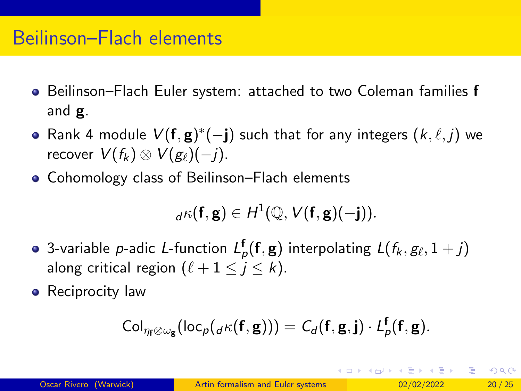- **•** Beilinson–Flach Euler system: attached to two Coleman families **f** and g.
- Rank 4 module  $V(\mathbf{f}, \mathbf{g})^*(-\mathbf{j})$  such that for any integers  $(k, \ell, j)$  we recover  $V(f_k) \otimes V(g_{\ell})(-i)$ .
- Cohomology class of Beilinson–Flach elements

$$
{}_{d}\kappa(\mathbf{f},\mathbf{g})\in H^1(\mathbb{Q},V(\mathbf{f},\mathbf{g})(-j)).
$$

- 3-variable  $p$ -adic L-function  $L^{\mathsf{f}}_p(\mathsf{f},\mathsf{g})$  interpolating  $L(f_k,g_\ell,1+j)$ along critical region  $(\ell + 1 \leq j \leq k)$ .
- Reciprocity law

$$
\mathrm{Col}_{\eta_{\mathbf{f}}\otimes\omega_{\mathbf{g}}}(\mathrm{loc}_{p}({}_{d}\kappa(\mathbf{f},\mathbf{g})))=C_{d}(\mathbf{f},\mathbf{g},\mathbf{j})\cdot L_{p}^{\mathbf{f}}(\mathbf{f},\mathbf{g}).
$$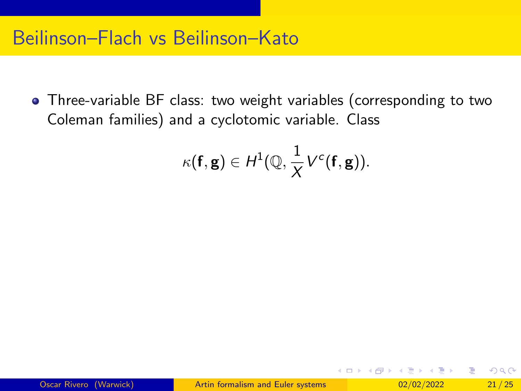Three-variable BF class: two weight variables (corresponding to two Coleman families) and a cyclotomic variable. Class

$$
\kappa(\mathbf{f},\mathbf{g})\in H^1(\mathbb{Q},\frac{1}{X}V^c(\mathbf{f},\mathbf{g})).
$$

イロト イ押 トイヨ トイヨ トー

G.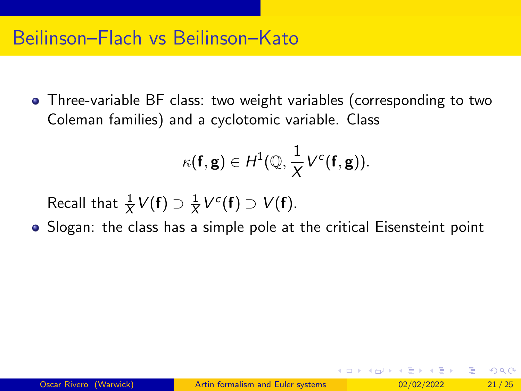Three-variable BF class: two weight variables (corresponding to two Coleman families) and a cyclotomic variable. Class

$$
\kappa(\mathbf{f},\mathbf{g})\in H^1(\mathbb{Q},\frac{1}{X}V^c(\mathbf{f},\mathbf{g})).
$$

Recall that  $\frac{1}{X}V(\mathbf{f}) \supset \frac{1}{X}$  $\frac{1}{X}V^c(\mathbf{f}) \supset V(\mathbf{f}).$ 

• Slogan: the class has a simple pole at the critical Eisensteint point

イ何 トイヨ トイヨ トー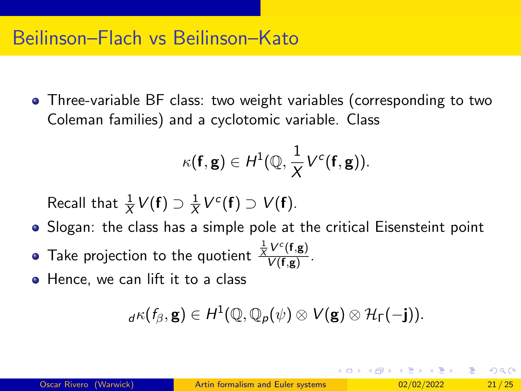Three-variable BF class: two weight variables (corresponding to two Coleman families) and a cyclotomic variable. Class

$$
\kappa(\mathbf{f},\mathbf{g})\in H^1(\mathbb{Q},\frac{1}{X}V^c(\mathbf{f},\mathbf{g})).
$$

Recall that  $\frac{1}{X}V(\mathbf{f}) \supset \frac{1}{X}$  $\frac{1}{X}V^c(\mathbf{f}) \supset V(\mathbf{f}).$ 

- Slogan: the class has a simple pole at the critical Eisensteint point
- Take projection to the quotient  $\frac{\frac{1}{X}V^c(\mathbf{f},\mathbf{g})}{V(\mathbf{f},\mathbf{g})}$  $\frac{V(1, g)}{V(f,g)}$ .
- Hence, we can lift it to a class

$$
{}_{d}\kappa(f_{\beta},\mathbf{g})\in H^{1}(\mathbb{Q},\mathbb{Q}_{p}(\psi)\otimes V(\mathbf{g})\otimes\mathcal{H}_{\Gamma}(-\mathbf{j})).
$$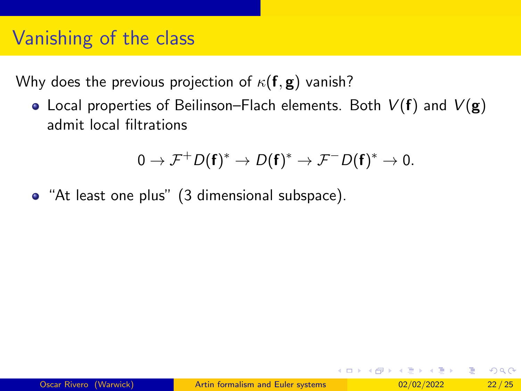# Vanishing of the class

Why does the previous projection of  $\kappa(f, g)$  vanish?

• Local properties of Beilinson–Flach elements. Both  $V(f)$  and  $V(g)$ admit local filtrations

$$
0 \to \mathcal{F}^+ D(\mathbf{f})^* \to D(\mathbf{f})^* \to \mathcal{F}^- D(\mathbf{f})^* \to 0.
$$

• "At least one plus" (3 dimensional subspace).

イロト イ何 トイヨト イヨト ニヨー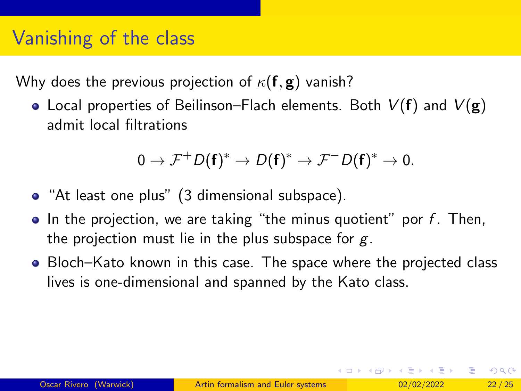# Vanishing of the class

Why does the previous projection of  $\kappa(f, g)$  vanish?

• Local properties of Beilinson–Flach elements. Both  $V(f)$  and  $V(g)$ admit local filtrations

$$
0 \to \mathcal{F}^+ D(\mathbf{f})^* \to D(\mathbf{f})^* \to \mathcal{F}^- D(\mathbf{f})^* \to 0.
$$

- "At least one plus" (3 dimensional subspace).
- $\bullet$  In the projection, we are taking "the minus quotient" por f. Then, the projection must lie in the plus subspace for  $g$ .
- Bloch–Kato known in this case. The space where the projected class lives is one-dimensional and spanned by the Kato class.

イロト イ何 トイヨト イヨト ニヨー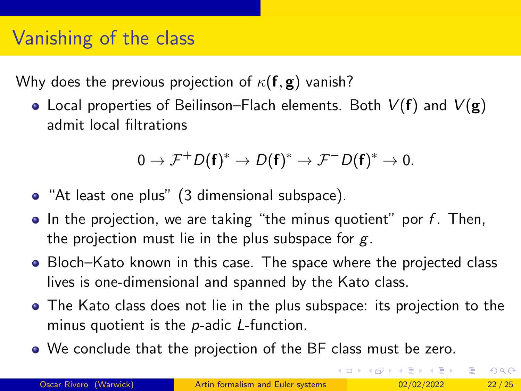# Vanishing of the class

Why does the previous projection of  $\kappa(f, g)$  vanish?

• Local properties of Beilinson–Flach elements. Both  $V(f)$  and  $V(g)$ admit local filtrations

$$
0 \to \mathcal{F}^+ D(\mathbf{f})^* \to D(\mathbf{f})^* \to \mathcal{F}^- D(\mathbf{f})^* \to 0.
$$

- "At least one plus" (3 dimensional subspace).
- $\bullet$  In the projection, we are taking "the minus quotient" por f. Then, the projection must lie in the plus subspace for  $g$ .
- Bloch–Kato known in this case. The space where the projected class lives is one-dimensional and spanned by the Kato class.
- The Kato class does not lie in the plus subspace: its projection to the minus quotient is the p-adic L-function.
- We conclude that the projection of the BF class must be zero.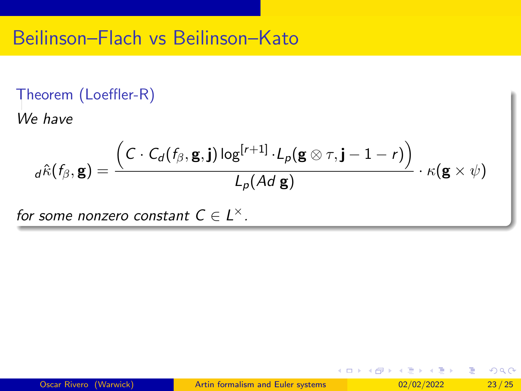#### Theorem (Loeffler-R)

We have

$$
d\hat{\kappa}(f_{\beta}, \mathbf{g}) = \frac{ \left( C \cdot C_d(f_{\beta}, \mathbf{g}, \mathbf{j}) \log^{[r+1]} \cdot L_p(\mathbf{g} \otimes \tau, \mathbf{j} - 1 - r) \right)}{L_p(Ad \mathbf{g})} \cdot \kappa(\mathbf{g} \times \psi)
$$

for some nonzero constant  $C \in L^{\times}$ .

イロト イ押ト イヨト イヨトー

重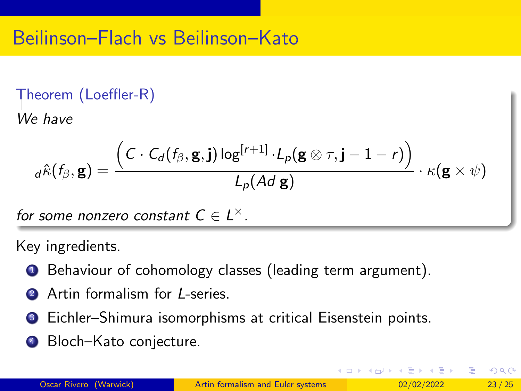#### Theorem (Loeffler-R)

We have

$$
d\hat{\kappa}(f_{\beta},\mathbf{g}) = \frac{\left(C \cdot C_d(f_{\beta}, \mathbf{g}, \mathbf{j}) \log^{[r+1]} \cdot L_p(\mathbf{g} \otimes \tau, \mathbf{j} - 1 - r)\right)}{L_p(Ad \mathbf{g})} \cdot \kappa(\mathbf{g} \times \psi)
$$

for some nonzero constant  $C \in L^{\times}$ .

Key ingredients.

- **1** Behaviour of cohomology classes (leading term argument).
- **2** Artin formalism for *I*-series.
- <sup>3</sup> Eichler–Shimura isomorphisms at critical Eisenstein points.
- **4** Bloch–Kato conjecture.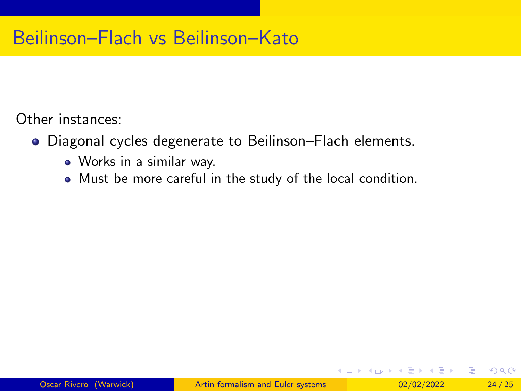Other instances:

- Diagonal cycles degenerate to Beilinson–Flach elements.
	- Works in a similar way.
	- Must be more careful in the study of the local condition.

( □ ) ( <sub>□</sub> ) (

э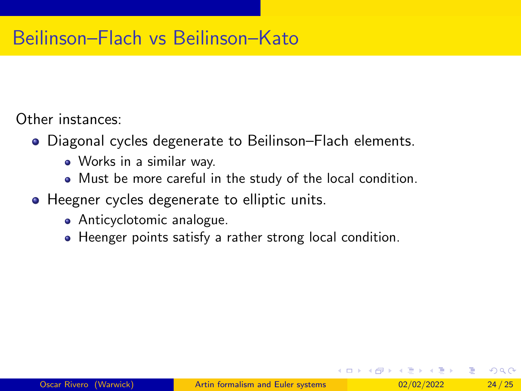Other instances:

- Diagonal cycles degenerate to Beilinson–Flach elements.
	- Works in a similar way.
	- Must be more careful in the study of the local condition.
- Heegner cycles degenerate to elliptic units.
	- **•** Anticyclotomic analogue.
	- Heenger points satisfy a rather strong local condition.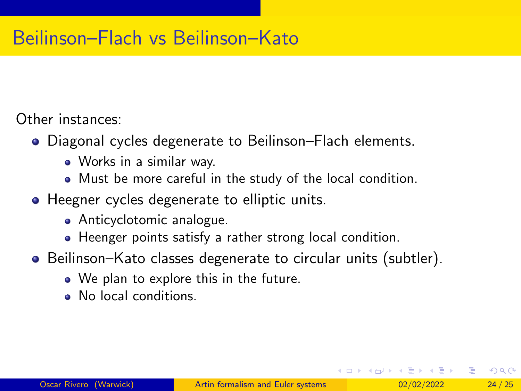Other instances:

- Diagonal cycles degenerate to Beilinson–Flach elements.
	- Works in a similar way.
	- Must be more careful in the study of the local condition.
- Heegner cycles degenerate to elliptic units.
	- Anticyclotomic analogue.
	- Heenger points satisfy a rather strong local condition.
- Beilinson–Kato classes degenerate to circular units (subtler).
	- We plan to explore this in the future.
	- No local conditions.